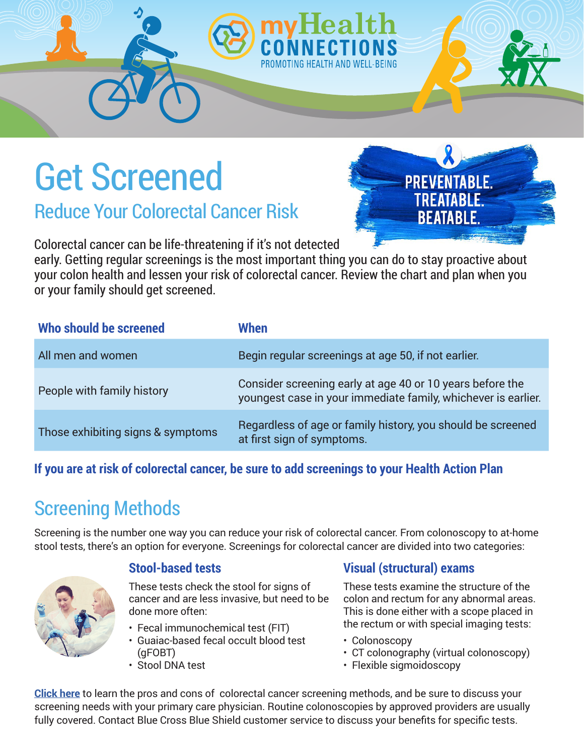# Get Screened

Reduce Your Colorectal Cancer Risk

Colorectal cancer can be life-threatening if it's not detected

early. Getting regular screenings is the most important thing you can do to stay proactive about your colon health and lessen your risk of colorectal cancer. Review the chart and plan when you or your family should get screened.

| Who should be screened            | When                                                                                                                       |
|-----------------------------------|----------------------------------------------------------------------------------------------------------------------------|
| All men and women                 | Begin regular screenings at age 50, if not earlier.                                                                        |
| People with family history        | Consider screening early at age 40 or 10 years before the<br>youngest case in your immediate family, whichever is earlier. |
| Those exhibiting signs & symptoms | Regardless of age or family history, you should be screened<br>at first sign of symptoms.                                  |

#### **If you are at risk of colorectal cancer, be sure to add screenings to your Health Action Plan**

# Screening Methods

Screening is the number one way you can reduce your risk of colorectal cancer. From colonoscopy to at-home stool tests, there's an option for everyone. Screenings for colorectal cancer are divided into two categories:



#### **Stool-based tests**

These tests check the stool for signs of cancer and are less invasive, but need to be done more often:

- Fecal immunochemical test (FIT)
- Guaiac-based fecal occult blood test (gFOBT)
- Stool DNA test

#### **Visual (structural) exams**

These tests examine the structure of the colon and rectum for any abnormal areas. This is done either with a scope placed in the rectum or with special imaging tests:

- Colonoscopy
- CT colonography (virtual colonoscopy)
- Flexible sigmoidoscopy

**[Click here](https://www.cancer.org/cancer/colon-rectal-cancer/detection-diagnosis-staging/screening-tests-used.html)** to learn the pros and cons of colorectal cancer screening methods, and be sure to discuss your screening needs with your primary care physician. Routine colonoscopies by approved providers are usually fully covered. Contact Blue Cross Blue Shield customer service to discuss your benefits for specific tests.

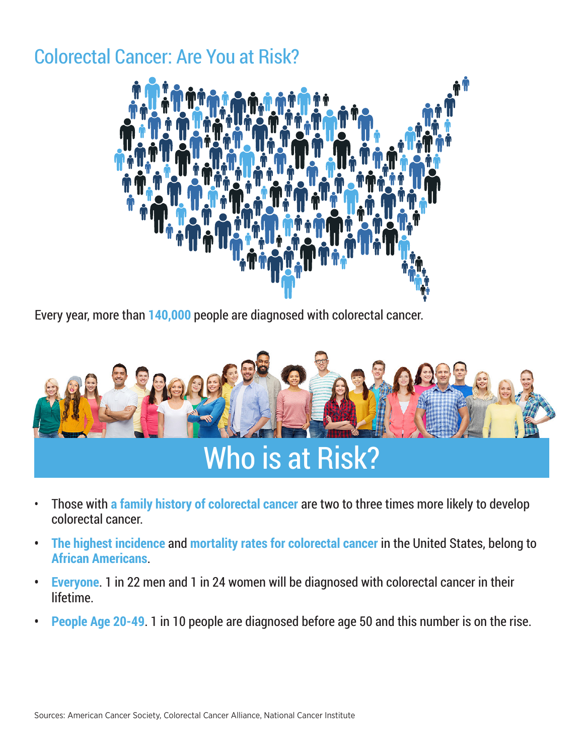### Colorectal Cancer: Are You at Risk?



Every year, more than **140,000** people are diagnosed with colorectal cancer.



- Those with **a family history of colorectal cancer** are two to three times more likely to develop colorectal cancer.
- **• The highest incidence** and **mortality rates for colorectal cancer** in the United States, belong to **African Americans**.
- **• Everyone**. 1 in 22 men and 1 in 24 women will be diagnosed with colorectal cancer in their lifetime.
- **• People Age 20-49**. 1 in 10 people are diagnosed before age 50 and this number is on the rise.